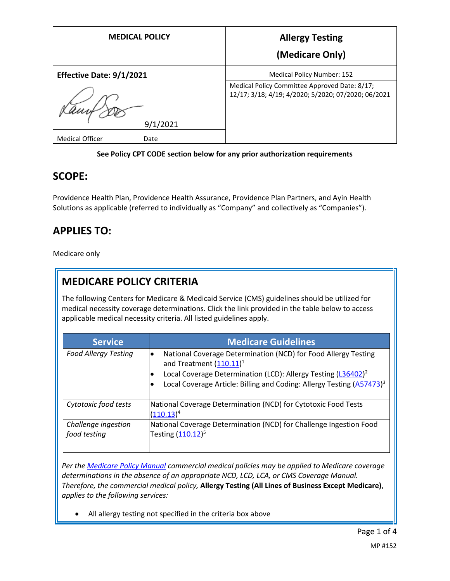| <b>MEDICAL POLICY</b>          | <b>Allergy Testing</b>                                                                               |
|--------------------------------|------------------------------------------------------------------------------------------------------|
|                                | (Medicare Only)                                                                                      |
| Effective Date: 9/1/2021       | <b>Medical Policy Number: 152</b>                                                                    |
|                                | Medical Policy Committee Approved Date: 8/17;<br>12/17; 3/18; 4/19; 4/2020; 5/2020; 07/2020; 06/2021 |
| 9/1/2021                       |                                                                                                      |
| <b>Medical Officer</b><br>Date |                                                                                                      |

#### **See Policy CPT CODE section below for any prior authorization requirements**

#### **SCOPE:**

Providence Health Plan, Providence Health Assurance, Providence Plan Partners, and Ayin Health Solutions as applicable (referred to individually as "Company" and collectively as "Companies").

### **APPLIES TO:**

Medicare only

## **MEDICARE POLICY CRITERIA**

The following Centers for Medicare & Medicaid Service (CMS) guidelines should be utilized for medical necessity coverage determinations. Click the link provided in the table below to access applicable medical necessity criteria. All listed guidelines apply.

| <b>Service</b>                      | <b>Medicare Guidelines</b>                                                                                                                                                                                                                                              |
|-------------------------------------|-------------------------------------------------------------------------------------------------------------------------------------------------------------------------------------------------------------------------------------------------------------------------|
| <b>Food Allergy Testing</b>         | National Coverage Determination (NCD) for Food Allergy Testing<br>and Treatment (110.11) <sup>1</sup><br>Local Coverage Determination (LCD): Allergy Testing (L36402) <sup>2</sup><br>Local Coverage Article: Billing and Coding: Allergy Testing (A57473) <sup>3</sup> |
| Cytotoxic food tests                | National Coverage Determination (NCD) for Cytotoxic Food Tests<br>$(110.13)^4$                                                                                                                                                                                          |
| Challenge ingestion<br>food testing | National Coverage Determination (NCD) for Challenge Ingestion Food<br>Testing (110.12) <sup>5</sup>                                                                                                                                                                     |

*Per th[e Medicare Policy Manual](https://s3-us-west-2.amazonaws.com/images.provhealth.org/Providence-Images/PHP_PHA_Medical_Policy_CMS_Manual.pdf) commercial medical policies may be applied to Medicare coverage determinations in the absence of an appropriate NCD, LCD, LCA, or CMS Coverage Manual. Therefore, the commercial medical policy,* **Allergy Testing (All Lines of Business Except Medicare)**, *applies to the following services:*

All allergy testing not specified in the criteria box above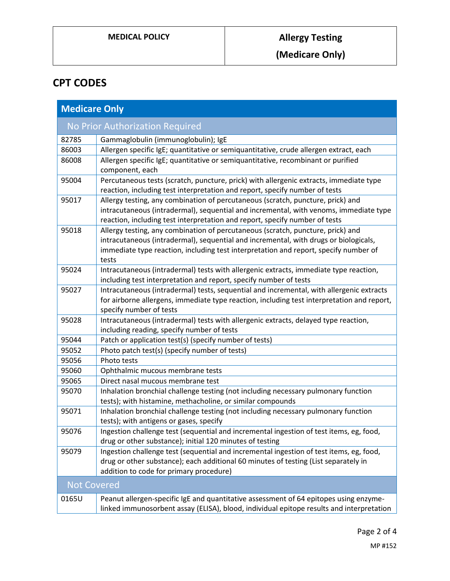**(Medicare Only)**

# **CPT CODES**

| <b>Medicare Only</b>            |                                                                                            |  |
|---------------------------------|--------------------------------------------------------------------------------------------|--|
| No Prior Authorization Required |                                                                                            |  |
| 82785                           | Gammaglobulin (immunoglobulin); IgE                                                        |  |
| 86003                           | Allergen specific IgE; quantitative or semiquantitative, crude allergen extract, each      |  |
| 86008                           | Allergen specific IgE; quantitative or semiquantitative, recombinant or purified           |  |
|                                 | component, each                                                                            |  |
| 95004                           | Percutaneous tests (scratch, puncture, prick) with allergenic extracts, immediate type     |  |
|                                 | reaction, including test interpretation and report, specify number of tests                |  |
| 95017                           | Allergy testing, any combination of percutaneous (scratch, puncture, prick) and            |  |
|                                 | intracutaneous (intradermal), sequential and incremental, with venoms, immediate type      |  |
|                                 | reaction, including test interpretation and report, specify number of tests                |  |
| 95018                           | Allergy testing, any combination of percutaneous (scratch, puncture, prick) and            |  |
|                                 | intracutaneous (intradermal), sequential and incremental, with drugs or biologicals,       |  |
|                                 | immediate type reaction, including test interpretation and report, specify number of       |  |
|                                 | tests                                                                                      |  |
| 95024                           | Intracutaneous (intradermal) tests with allergenic extracts, immediate type reaction,      |  |
|                                 | including test interpretation and report, specify number of tests                          |  |
| 95027                           | Intracutaneous (intradermal) tests, sequential and incremental, with allergenic extracts   |  |
|                                 | for airborne allergens, immediate type reaction, including test interpretation and report, |  |
|                                 | specify number of tests                                                                    |  |
| 95028                           | Intracutaneous (intradermal) tests with allergenic extracts, delayed type reaction,        |  |
|                                 | including reading, specify number of tests                                                 |  |
| 95044                           | Patch or application test(s) (specify number of tests)                                     |  |
| 95052                           | Photo patch test(s) (specify number of tests)                                              |  |
| 95056                           | Photo tests                                                                                |  |
| 95060                           | Ophthalmic mucous membrane tests                                                           |  |
| 95065                           | Direct nasal mucous membrane test                                                          |  |
| 95070                           | Inhalation bronchial challenge testing (not including necessary pulmonary function         |  |
|                                 | tests); with histamine, methacholine, or similar compounds                                 |  |
| 95071                           | Inhalation bronchial challenge testing (not including necessary pulmonary function         |  |
|                                 | tests); with antigens or gases, specify                                                    |  |
| 95076                           | Ingestion challenge test (sequential and incremental ingestion of test items, eg, food,    |  |
|                                 | drug or other substance); initial 120 minutes of testing                                   |  |
| 95079                           | Ingestion challenge test (sequential and incremental ingestion of test items, eg, food,    |  |
|                                 | drug or other substance); each additional 60 minutes of testing (List separately in        |  |
|                                 | addition to code for primary procedure)                                                    |  |
| <b>Not Covered</b>              |                                                                                            |  |
| 0165U                           | Peanut allergen-specific IgE and quantitative assessment of 64 epitopes using enzyme-      |  |
|                                 | linked immunosorbent assay (ELISA), blood, individual epitope results and interpretation   |  |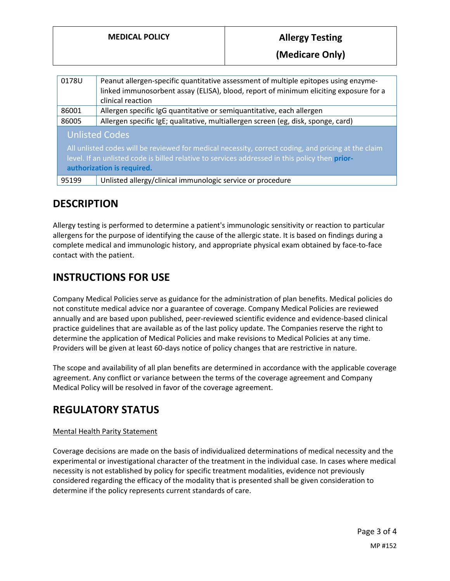#### **MEDICAL POLICY Allergy Testing**

| 0178U                                                                                                                                                                                                                               | Peanut allergen-specific quantitative assessment of multiple epitopes using enzyme-<br>linked immunosorbent assay (ELISA), blood, report of minimum eliciting exposure for a<br>clinical reaction |
|-------------------------------------------------------------------------------------------------------------------------------------------------------------------------------------------------------------------------------------|---------------------------------------------------------------------------------------------------------------------------------------------------------------------------------------------------|
| 86001                                                                                                                                                                                                                               | Allergen specific IgG quantitative or semiquantitative, each allergen                                                                                                                             |
| 86005                                                                                                                                                                                                                               | Allergen specific IgE; qualitative, multiallergen screen (eg, disk, sponge, card)                                                                                                                 |
| <b>Unlisted Codes</b>                                                                                                                                                                                                               |                                                                                                                                                                                                   |
| All unlisted codes will be reviewed for medical necessity, correct coding, and pricing at the claim<br>level. If an unlisted code is billed relative to services addressed in this policy then prior-<br>authorization is required. |                                                                                                                                                                                                   |
| 95199                                                                                                                                                                                                                               | Unlisted allergy/clinical immunologic service or procedure                                                                                                                                        |

### **DESCRIPTION**

Allergy testing is performed to determine a patient's immunologic sensitivity or reaction to particular allergens for the purpose of identifying the cause of the allergic state. It is based on findings during a complete medical and immunologic history, and appropriate physical exam obtained by face-to-face contact with the patient.

## **INSTRUCTIONS FOR USE**

Company Medical Policies serve as guidance for the administration of plan benefits. Medical policies do not constitute medical advice nor a guarantee of coverage. Company Medical Policies are reviewed annually and are based upon published, peer-reviewed scientific evidence and evidence-based clinical practice guidelines that are available as of the last policy update. The Companies reserve the right to determine the application of Medical Policies and make revisions to Medical Policies at any time. Providers will be given at least 60-days notice of policy changes that are restrictive in nature.

The scope and availability of all plan benefits are determined in accordance with the applicable coverage agreement. Any conflict or variance between the terms of the coverage agreement and Company Medical Policy will be resolved in favor of the coverage agreement.

# **REGULATORY STATUS**

#### Mental Health Parity Statement

Coverage decisions are made on the basis of individualized determinations of medical necessity and the experimental or investigational character of the treatment in the individual case. In cases where medical necessity is not established by policy for specific treatment modalities, evidence not previously considered regarding the efficacy of the modality that is presented shall be given consideration to determine if the policy represents current standards of care.